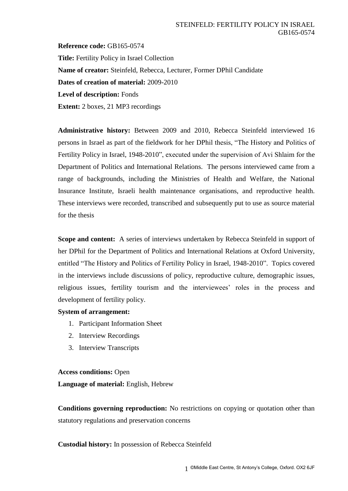**Reference code:** GB165-0574 **Title:** Fertility Policy in Israel Collection **Name of creator:** Steinfeld, Rebecca, Lecturer, Former DPhil Candidate **Dates of creation of material:** 2009-2010 **Level of description:** Fonds **Extent:** 2 boxes, 21 MP3 recordings

**Administrative history:** Between 2009 and 2010, Rebecca Steinfeld interviewed 16 persons in Israel as part of the fieldwork for her DPhil thesis, "The History and Politics of Fertility Policy in Israel, 1948-2010", executed under the supervision of Avi Shlaim for the Department of Politics and International Relations. The persons interviewed came from a range of backgrounds, including the Ministries of Health and Welfare, the National Insurance Institute, Israeli health maintenance organisations, and reproductive health. These interviews were recorded, transcribed and subsequently put to use as source material for the thesis

**Scope and content:** A series of interviews undertaken by Rebecca Steinfeld in support of her DPhil for the Department of Politics and International Relations at Oxford University, entitled "The History and Politics of Fertility Policy in Israel, 1948-2010". Topics covered in the interviews include discussions of policy, reproductive culture, demographic issues, religious issues, fertility tourism and the interviewees' roles in the process and development of fertility policy.

## **System of arrangement:**

- 1. Participant Information Sheet
- 2. Interview Recordings
- 3. Interview Transcripts

## **Access conditions:** Open

**Language of material:** English, Hebrew

**Conditions governing reproduction:** No restrictions on copying or quotation other than statutory regulations and preservation concerns

## **Custodial history:** In possession of Rebecca Steinfeld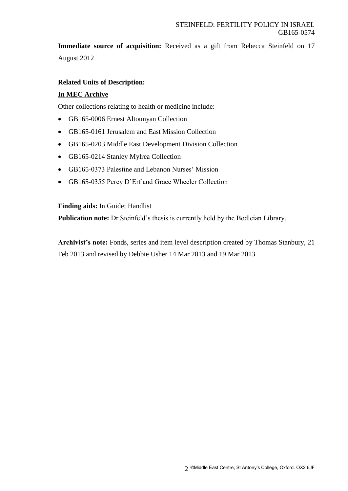**Immediate source of acquisition:** Received as a gift from Rebecca Steinfeld on 17 August 2012

# **Related Units of Description:**

# **In MEC Archive**

Other collections relating to health or medicine include:

- GB165-0006 Ernest Altounyan Collection
- GB165-0161 Jerusalem and East Mission Collection
- GB165-0203 Middle East Development Division Collection
- GB165-0214 Stanley Mylrea Collection
- GB165-0373 Palestine and Lebanon Nurses' Mission
- GB165-0355 Percy D'Erf and Grace Wheeler Collection

## **Finding aids:** In Guide; Handlist

**Publication note:** Dr Steinfeld's thesis is currently held by the Bodleian Library.

**Archivist's note:** Fonds, series and item level description created by Thomas Stanbury, 21 Feb 2013 and revised by Debbie Usher 14 Mar 2013 and 19 Mar 2013.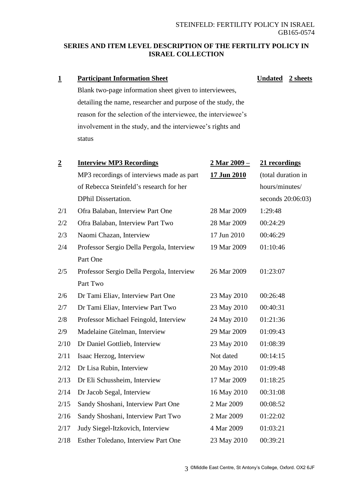# **SERIES AND ITEM LEVEL DESCRIPTION OF THE FERTILITY POLICY IN ISRAEL COLLECTION**

# **1 Participant Information Sheet**

**Undated 2 sheets**

Blank two-page information sheet given to interviewees, detailing the name, researcher and purpose of the study, the reason for the selection of the interviewee, the interviewee's involvement in the study, and the interviewee's rights and status

| $\overline{2}$ | <b>Interview MP3 Recordings</b>           | <u>2 Mar 2009 – </u> | 21 recordings      |
|----------------|-------------------------------------------|----------------------|--------------------|
|                | MP3 recordings of interviews made as part | 17 Jun 2010          | (total duration in |
|                | of Rebecca Steinfeld's research for her   |                      | hours/minutes/     |
|                | <b>DPhil Dissertation.</b>                |                      | seconds 20:06:03)  |
| 2/1            | Ofra Balaban, Interview Part One          | 28 Mar 2009          | 1:29:48            |
| 2/2            | Ofra Balaban, Interview Part Two          | 28 Mar 2009          | 00:24:29           |
| 2/3            | Naomi Chazan, Interview                   | 17 Jun 2010          | 00:46:29           |
| 2/4            | Professor Sergio Della Pergola, Interview | 19 Mar 2009          | 01:10:46           |
|                | Part One                                  |                      |                    |
| 2/5            | Professor Sergio Della Pergola, Interview | 26 Mar 2009          | 01:23:07           |
|                | Part Two                                  |                      |                    |
| 2/6            | Dr Tami Eliav, Interview Part One         | 23 May 2010          | 00:26:48           |
| 2/7            | Dr Tami Eliav, Interview Part Two         | 23 May 2010          | 00:40:31           |
| 2/8            | Professor Michael Feingold, Interview     | 24 May 2010          | 01:21:36           |
| 2/9            | Madelaine Gitelman, Interview             | 29 Mar 2009          | 01:09:43           |
| 2/10           | Dr Daniel Gottlieb, Interview             | 23 May 2010          | 01:08:39           |
| 2/11           | Isaac Herzog, Interview                   | Not dated            | 00:14:15           |
| 2/12           | Dr Lisa Rubin, Interview                  | 20 May 2010          | 01:09:48           |
| 2/13           | Dr Eli Schussheim, Interview              | 17 Mar 2009          | 01:18:25           |
| 2/14           | Dr Jacob Segal, Interview                 | 16 May 2010          | 00:31:08           |
| 2/15           | Sandy Shoshani, Interview Part One        | 2 Mar 2009           | 00:08:52           |
| 2/16           | Sandy Shoshani, Interview Part Two        | 2 Mar 2009           | 01:22:02           |
| 2/17           | Judy Siegel-Itzkovich, Interview          | 4 Mar 2009           | 01:03:21           |
| 2/18           | Esther Toledano, Interview Part One       | 23 May 2010          | 00:39:21           |